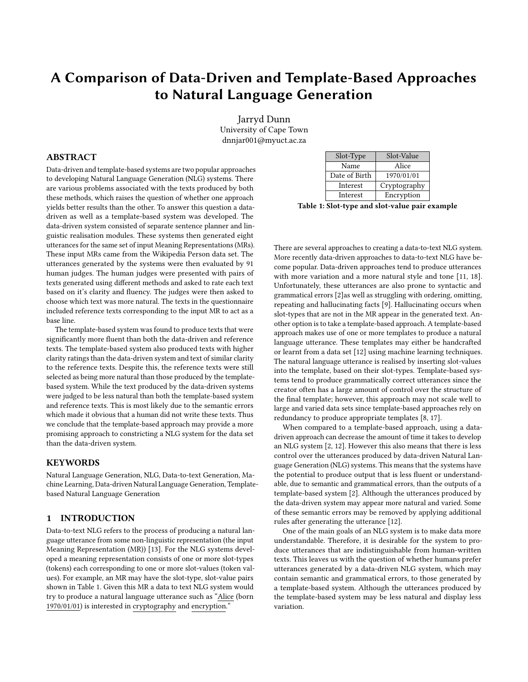# <span id="page-0-1"></span>A Comparison of Data-Driven and Template-Based Approaches to Natural Language Generation

Jarryd Dunn University of Cape Town dnnjar001@myuct.ac.za

## ABSTRACT

Data-driven and template-based systems are two popular approaches to developing Natural Language Generation (NLG) systems. There are various problems associated with the texts produced by both these methods, which raises the question of whether one approach yields better results than the other. To answer this question a datadriven as well as a template-based system was developed. The data-driven system consisted of separate sentence planner and linguistic realisation modules. These systems then generated eight utterances for the same set of input Meaning Representations (MRs). These input MRs came from the Wikipedia Person data set. The utterances generated by the systems were then evaluated by 91 human judges. The human judges were presented with pairs of texts generated using different methods and asked to rate each text based on it's clarity and fluency. The judges were then asked to choose which text was more natural. The texts in the questionnaire included reference texts corresponding to the input MR to act as a base line.

The template-based system was found to produce texts that were significantly more fluent than both the data-driven and reference texts. The template-based system also produced texts with higher clarity ratings than the data-driven system and text of similar clarity to the reference texts. Despite this, the reference texts were still selected as being more natural than those produced by the templatebased system. While the text produced by the data-driven systems were judged to be less natural than both the template-based system and reference texts. This is most likely due to the semantic errors which made it obvious that a human did not write these texts. Thus we conclude that the template-based approach may provide a more promising approach to constricting a NLG system for the data set than the data-driven system.

## **KEYWORDS**

Natural Language Generation, NLG, Data-to-text Generation, Machine Learning, Data-driven Natural Language Generation, Templatebased Natural Language Generation

## 1 INTRODUCTION

Data-to-text NLG refers to the process of producing a natural language utterance from some non-linguistic representation (the input Meaning Representation (MR)) [\[13\]](#page-8-0). For the NLG systems developed a meaning representation consists of one or more slot-types (tokens) each corresponding to one or more slot-values (token values). For example, an MR may have the slot-type, slot-value pairs shown in Table [1.](#page-0-0) Given this MR a data to text NLG system would try to produce a natural language utterance such as "Alice (born 1970/01/01) is interested in cryptography and encryption."

<span id="page-0-0"></span>

| Slot-Type     | Slot-Value   |
|---------------|--------------|
| Name          | Alice        |
| Date of Birth | 1970/01/01   |
| Interest      | Cryptography |
| Interest      | Encryption   |

Table 1: Slot-type and slot-value pair example

There are several approaches to creating a data-to-text NLG system. More recently data-driven approaches to data-to-text NLG have become popular. Data-driven approaches tend to produce utterances with more variation and a more natural style and tone [\[11,](#page-8-1) [18\]](#page-8-2). Unfortunately, these utterances are also prone to syntactic and grammatical errors [\[2\]](#page-8-3)as well as struggling with ordering, omitting, repeating and hallucinating facts [\[9\]](#page-8-4). Hallucinating occurs when slot-types that are not in the MR appear in the generated text. Another option is to take a template-based approach. A template-based approach makes use of one or more templates to produce a natural language utterance. These templates may either be handcrafted or learnt from a data set [\[12\]](#page-8-5) using machine learning techniques. The natural language utterance is realised by inserting slot-values into the template, based on their slot-types. Template-based systems tend to produce grammatically correct utterances since the creator often has a large amount of control over the structure of the final template; however, this approach may not scale well to large and varied data sets since template-based approaches rely on redundancy to produce appropriate templates [\[8,](#page-8-6) [17\]](#page-8-7).

When compared to a template-based approach, using a datadriven approach can decrease the amount of time it takes to develop an NLG system [\[2,](#page-8-3) [12\]](#page-8-5). However this also means that there is less control over the utterances produced by data-driven Natural Language Generation (NLG) systems. This means that the systems have the potential to produce output that is less fluent or understandable, due to semantic and grammatical errors, than the outputs of a template-based system [\[2\]](#page-8-3). Although the utterances produced by the data-driven system may appear more natural and varied. Some of these semantic errors may be removed by applying additional rules after generating the utterance [\[12\]](#page-8-5).

One of the main goals of an NLG system is to make data more understandable. Therefore, it is desirable for the system to produce utterances that are indistinguishable from human-written texts. This leaves us with the question of whether humans prefer utterances generated by a data-driven NLG system, which may contain semantic and grammatical errors, to those generated by a template-based system. Although the utterances produced by the template-based system may be less natural and display less variation.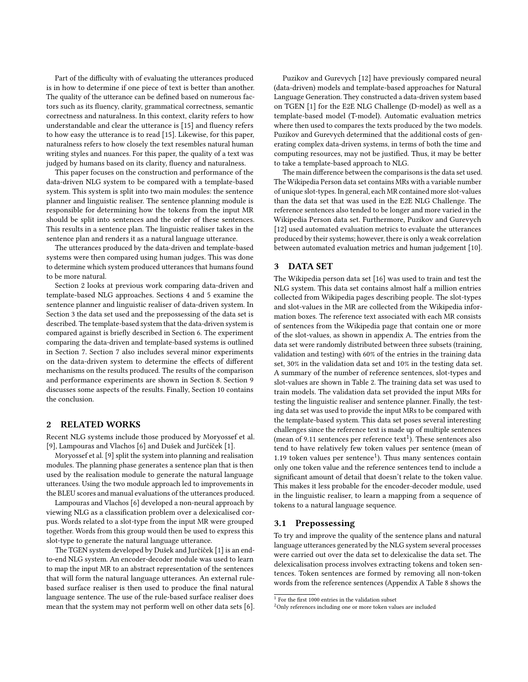Part of the difficulty with of evaluating the utterances produced is in how to determine if one piece of text is better than another. The quality of the utterance can be defined based on numerous factors such as its fluency, clarity, grammatical correctness, semantic correctness and naturalness. In this context, clarity refers to how understandable and clear the utterance is [\[15\]](#page-8-8) and fluency refers to how easy the utterance is to read [\[15\]](#page-8-8). Likewise, for this paper, naturalness refers to how closely the text resembles natural human writing styles and nuances. For this paper, the quality of a text was judged by humans based on its clarity, fluency and naturalness.

This paper focuses on the construction and performance of the data-driven [NLG](#page-0-1) system to be compared with a template-based system. This system is split into two main modules: the sentence planner and linguistic realiser. The sentence planning module is responsible for determining how the tokens from the input [MR](#page-0-1) should be split into sentences and the order of these sentences. This results in a sentence plan. The linguistic realiser takes in the sentence plan and renders it as a natural language utterance.

The utterances produced by the data-driven and template-based systems were then compared using human judges. This was done to determine which system produced utterances that humans found to be more natural.

Section [2](#page-1-0) looks at previous work comparing data-driven and template-based [NLG](#page-0-1) approaches. Sections [4](#page-2-0) and [5](#page-3-0) examine the sentence planner and linguistic realiser of data-driven system. In Section [3](#page-1-1) the data set used and the prepossessing of the data set is described. The template-based system that the data-driven system is compared against is briefly described in Section [6.](#page-4-0) The experiment comparing the data-driven and template-based systems is outlined in Section [7.](#page-4-1) Section [7](#page-4-1) also includes several minor experiments on the data-driven system to determine the effects of different mechanisms on the results produced. The results of the comparison and performance experiments are shown in Section [8.](#page-5-0) Section [9](#page-6-0) discusses some aspects of the results. Finally, Section [10](#page-8-9) contains the conclusion.

#### <span id="page-1-0"></span>2 RELATED WORKS

Recent [NLG](#page-0-1) systems include those produced by Moryossef et al. [\[9\]](#page-8-4), Lampouras and Vlachos [\[6\]](#page-8-10) and Dušek and Jurčíček [\[1\]](#page-8-11).

Moryossef et al. [\[9\]](#page-8-4) split the system into planning and realisation modules. The planning phase generates a sentence plan that is then used by the realisation module to generate the natural language utterances. Using the two module approach led to improvements in the BLEU scores and manual evaluations of the utterances produced.

Lampouras and Vlachos [\[6\]](#page-8-10) developed a non-neural approach by viewing [NLG](#page-0-1) as a classification problem over a delexicalised corpus. Words related to a slot-type from the input [MR](#page-0-1) were grouped together. Words from this group would then be used to express this slot-type to generate the natural language utterance.

The TGEN system developed by Dušek and Jurčíček [\[1\]](#page-8-11) is an endto-end [NLG](#page-0-1) system. An encoder-decoder module was used to learn to map the input [MR](#page-0-1) to an abstract representation of the sentences that will form the natural language utterances. An external rulebased surface realiser is then used to produce the final natural language sentence. The use of the rule-based surface realiser does mean that the system may not perform well on other data sets [\[6\]](#page-8-10).

Puzikov and Gurevych [\[12\]](#page-8-5) have previously compared neural (data-driven) models and template-based approaches for [Natural](#page-0-1) [Language Generation.](#page-0-1) They constructed a data-driven system based on TGEN [\[1\]](#page-8-11) for the E2E NLG Challenge (D-model) as well as a template-based model (T-model). Automatic evaluation metrics where then used to compares the texts produced by the two models. [Puzikov and Gurevych](#page-8-5) determined that the additional costs of generating complex data-driven systems, in terms of both the time and computing resources, may not be justified. Thus, it may be better to take a template-based approach to [NLG.](#page-0-1)

The main difference between the comparisons is the data set used. The Wikipedia Person data set contains [MRs](#page-0-1) with a variable number of unique slot-types. In general, each [MR](#page-0-1) contained more slot-values than the data set that was used in the E2E NLG Challenge. The reference sentences also tended to be longer and more varied in the Wikipedia Person data set. Furthermore, Puzikov and Gurevych [\[12\]](#page-8-5) used automated evaluation metrics to evaluate the utterances produced by their systems; however, there is only a weak correlation between automated evaluation metrics and human judgement [\[10\]](#page-8-12).

## <span id="page-1-1"></span>3 DATA SET

The Wikipedia person data set [\[16\]](#page-8-13) was used to train and test the [NLG](#page-0-1) system. This data set contains almost half a million entries collected from Wikipedia pages describing people. The slot-types and slot-values in the [MR](#page-0-1) are collected from the Wikipedia information boxes. The reference text associated with each [MR](#page-0-1) consists of sentences from the Wikipedia page that contain one or more of the slot-values, as shown in appendix [A.](#page-9-0) The entries from the data set were randomly distributed between three subsets (training, validation and testing) with 60% of the entries in the training data set, 30% in the validation data set and 10% in the testing data set. A summary of the number of reference sentences, slot-types and slot-values are shown in Table [2.](#page-2-1) The training data set was used to train models. The validation data set provided the input [MRs](#page-0-1) for testing the linguistic realiser and sentence planner. Finally, the testing data set was used to provide the input [MRs](#page-0-1) to be compared with the template-based system. This data set poses several interesting challenges since the reference text is made up of multiple sentences (mean of 9.[1](#page-1-2)1 sentences per reference  $text{text}^1$ ). These sentences also tend to have relatively few token values per sentence (mean of [1](#page-0-1).19 token values per sentence<sup>1</sup>). Thus many sentences contain only one token value and the reference sentences tend to include a significant amount of detail that doesn't relate to the token value. This makes it less probable for the encoder-decoder module, used in the linguistic realiser, to learn a mapping from a sequence of tokens to a natural language sequence.

#### <span id="page-1-4"></span>3.1 Prepossessing

To try and improve the quality of the sentence plans and natural language utterances generated by the [NLG](#page-0-1) system several processes were carried out over the data set to delexicalise the data set. The delexicalisation process involves extracting tokens and token sentences. Token sentences are formed by removing all non-token words from the reference sentences (Appendix [A](#page-9-0) Table [8](#page-9-1) shows the

<span id="page-1-2"></span><sup>1</sup> For the first 1000 entries in the validation subset

<span id="page-1-3"></span><sup>2</sup>Only references including one or more token values are included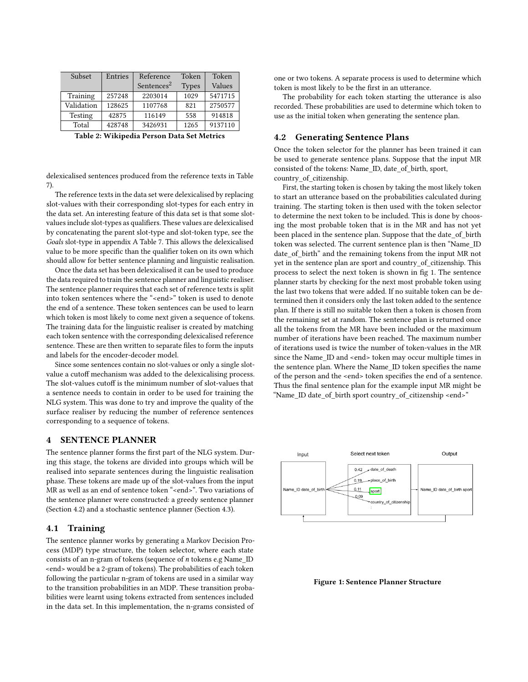<span id="page-2-1"></span>

| Subset         | Entries | Reference              | Token        | Token   |
|----------------|---------|------------------------|--------------|---------|
|                |         | Sentences <sup>2</sup> | <b>Types</b> | Values  |
| Training       | 257248  | 2203014                | 1029         | 5471715 |
| Validation     | 128625  | 1107768                | 821          | 2750577 |
| <b>Testing</b> | 42875   | 116149                 | 558          | 914818  |
| Total          | 428748  | 3426931                | 1265         | 9137110 |

Table 2: Wikipedia Person Data Set Metrics

delexicalised sentences produced from the reference texts in Table [7\)](#page-9-2).

The reference texts in the data set were delexicalised by replacing slot-values with their corresponding slot-types for each entry in the data set. An interesting feature of this data set is that some slotvalues include slot-types as qualifiers. These values are delexicalised by concatenating the parent slot-type and slot-token type, see the Goals slot-type in appendix [A](#page-9-0) Table [7.](#page-9-2) This allows the delexicalised value to be more specific than the qualifier token on its own which should allow for better sentence planning and linguistic realisation.

Once the data set has been delexicalised it can be used to produce the data required to train the sentence planner and linguistic realiser. The sentence planner requires that each set of reference texts is split into token sentences where the "<end>" token is used to denote the end of a sentence. These token sentences can be used to learn which token is most likely to come next given a sequence of tokens. The training data for the linguistic realiser is created by matching each token sentence with the corresponding delexicalised reference sentence. These are then written to separate files to form the inputs and labels for the encoder-decoder model.

Since some sentences contain no slot-values or only a single slotvalue a cutoff mechanism was added to the delexicalising process. The slot-values cutoff is the minimum number of slot-values that a sentence needs to contain in order to be used for training the [NLG](#page-0-1) system. This was done to try and improve the quality of the surface realiser by reducing the number of reference sentences corresponding to a sequence of tokens.

# <span id="page-2-0"></span>4 SENTENCE PLANNER

The sentence planner forms the first part of the [NLG](#page-0-1) system. During this stage, the tokens are divided into groups which will be realised into separate sentences during the linguistic realisation phase. These tokens are made up of the slot-values from the input [MR](#page-0-1) as well as an end of sentence token "<end>". Two variations of the sentence planner were constructed: a greedy sentence planner (Section [4.2\)](#page-2-2) and a stochastic sentence planner (Section [4.3\)](#page-3-1).

#### 4.1 Training

The sentence planner works by generating a [Markov Decision Pro](#page-0-1)[cess](#page-0-1) [\(MDP\)](#page-0-1) type structure, the token selector, where each state consists of an n-gram of tokens (sequence of n tokens e.g Name\_ID <end> would be a 2-gram of tokens). The probabilities of each token following the particular n-gram of tokens are used in a similar way to the transition probabilities in an [MDP.](#page-0-1) These transition probabilities were learnt using tokens extracted from sentences included in the data set. In this implementation, the n-grams consisted of

one or two tokens. A separate process is used to determine which token is most likely to be the first in an utterance.

The probability for each token starting the utterance is also recorded. These probabilities are used to determine which token to use as the initial token when generating the sentence plan.

## <span id="page-2-2"></span>4.2 Generating Sentence Plans

Once the token selector for the planner has been trained it can be used to generate sentence plans. Suppose that the input [MR](#page-0-1) consisted of the tokens: Name\_ID, date\_of\_birth, sport, country\_of\_citizenship.

First, the starting token is chosen by taking the most likely token to start an utterance based on the probabilities calculated during training. The starting token is then used with the token selector to determine the next token to be included. This is done by choosing the most probable token that is in the [MR](#page-0-1) and has not yet been placed in the sentence plan. Suppose that the date\_of\_birth token was selected. The current sentence plan is then "Name\_ID date\_of\_birth" and the remaining tokens from the input [MR](#page-0-1) not yet in the sentence plan are sport and country\_of\_citizenship. This process to select the next token is shown in fig [1.](#page-2-3) The sentence planner starts by checking for the next most probable token using the last two tokens that were added. If no suitable token can be determined then it considers only the last token added to the sentence plan. If there is still no suitable token then a token is chosen from the remaining set at random. The sentence plan is returned once all the tokens from the [MR](#page-0-1) have been included or the maximum number of iterations have been reached. The maximum number of iterations used is twice the number of token-values in the [MR](#page-0-1) since the Name ID and <end> token may occur multiple times in the sentence plan. Where the Name\_ID token specifies the name of the person and the <end> token specifies the end of a sentence. Thus the final sentence plan for the example input [MR](#page-0-1) might be "Name\_ID date\_of\_birth sport country\_of\_citizenship <end>"

<span id="page-2-3"></span>

Figure 1: Sentence Planner Structure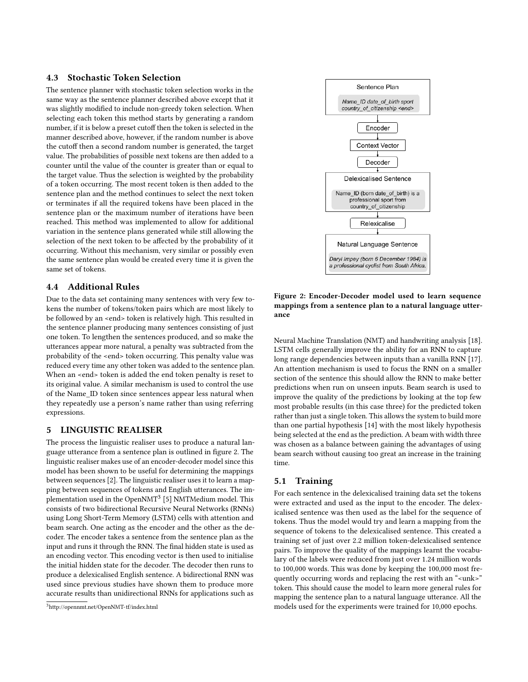# <span id="page-3-1"></span>4.3 Stochastic Token Selection

The sentence planner with stochastic token selection works in the same way as the sentence planner described above except that it was slightly modified to include non-greedy token selection. When selecting each token this method starts by generating a random number, if it is below a preset cutoff then the token is selected in the manner described above, however, if the random number is above the cutoff then a second random number is generated, the target value. The probabilities of possible next tokens are then added to a counter until the value of the counter is greater than or equal to the target value. Thus the selection is weighted by the probability of a token occurring. The most recent token is then added to the sentence plan and the method continues to select the next token or terminates if all the required tokens have been placed in the sentence plan or the maximum number of iterations have been reached. This method was implemented to allow for additional variation in the sentence plans generated while still allowing the selection of the next token to be affected by the probability of it occurring. Without this mechanism, very similar or possibly even the same sentence plan would be created every time it is given the same set of tokens.

# 4.4 Additional Rules

Due to the data set containing many sentences with very few tokens the number of tokens/token pairs which are most likely to be followed by an <end> token is relatively high. This resulted in the sentence planner producing many sentences consisting of just one token. To lengthen the sentences produced, and so make the utterances appear more natural, a penalty was subtracted from the probability of the <end> token occurring. This penalty value was reduced every time any other token was added to the sentence plan. When an <end> token is added the end token penalty is reset to its original value. A similar mechanism is used to control the use of the Name\_ID token since sentences appear less natural when they repeatedly use a person's name rather than using referring expressions.

# <span id="page-3-0"></span>5 LINGUISTIC REALISER

The process the linguistic realiser uses to produce a natural language utterance from a sentence plan is outlined in figure [2.](#page-3-2) The linguistic realiser makes use of an encoder-decoder model since this model has been shown to be useful for determining the mappings between sequences [\[2\]](#page-8-3). The linguistic realiser uses it to learn a mapping between sequences of tokens and English utterances. The implementation used in the Open $\text{NMT}^{3}$  $\text{NMT}^{3}$  $\text{NMT}^{3}$  [\[5\]](#page-8-14)  $\text{NMTMedian}$  model. This consists of two bidirectional [Recursive Neural Networks \(RNNs\)](#page-0-1) using [Long Short-Term Memory](#page-0-1) [\(LSTM\)](#page-0-1) cells with attention and beam search. One acting as the encoder and the other as the decoder. The encoder takes a sentence from the sentence plan as the input and runs it through the [RNN.](#page-0-1) The final hidden state is used as an encoding vector. This encoding vector is then used to initialise the initial hidden state for the decoder. The decoder then runs to produce a delexicalised English sentence. A bidirectional [RNN](#page-0-1) was used since previous studies have shown them to produce more accurate results than unidirectional [RNNs](#page-0-1) for applications such as

<span id="page-3-2"></span>

Figure 2: Encoder-Decoder model used to learn sequence mappings from a sentence plan to a natural language utterance

[Neural Machine Translation](#page-0-1) [\(NMT\)](#page-0-1) and handwriting analysis [\[18\]](#page-8-2). [LSTM](#page-0-1) cells generally improve the ability for an [RNN](#page-0-1) to capture long range dependencies between inputs than a vanilla [RNN](#page-0-1) [\[17\]](#page-8-7). An attention mechanism is used to focus the [RNN](#page-0-1) on a smaller section of the sentence this should allow the [RNN](#page-0-1) to make better predictions when run on unseen inputs. Beam search is used to improve the quality of the predictions by looking at the top few most probable results (in this case three) for the predicted token rather than just a single token. This allows the system to build more than one partial hypothesis [\[14\]](#page-8-15) with the most likely hypothesis being selected at the end as the prediction. A beam with width three was chosen as a balance between gaining the advantages of using beam search without causing too great an increase in the training time.

# 5.1 Training

For each sentence in the delexicalised training data set the tokens were extracted and used as the input to the encoder. The delexicalised sentence was then used as the label for the sequence of tokens. Thus the model would try and learn a mapping from the sequence of tokens to the delexicalised sentence. This created a training set of just over 2.2 million token-delexicalised sentence pairs. To improve the quality of the mappings learnt the vocabulary of the labels were reduced from just over 1.24 million words to 100,000 words. This was done by keeping the 100,000 most frequently occurring words and replacing the rest with an "<unk>" token. This should cause the model to learn more general rules for mapping the sentence plan to a natural language utterance. All the models used for the experiments were trained for 10,000 epochs.

<span id="page-3-3"></span><sup>3</sup><http://opennmt.net/OpenNMT-tf/index.html>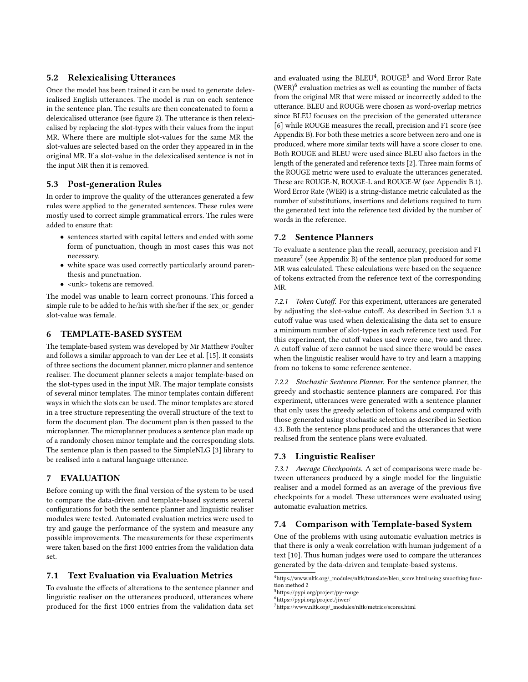## 5.2 Relexicalising Utterances

Once the model has been trained it can be used to generate delexicalised English utterances. The model is run on each sentence in the sentence plan. The results are then concatenated to form a delexicalised utterance (see figure [2\)](#page-3-2). The utterance is then relexicalised by replacing the slot-types with their values from the input [MR.](#page-0-1) Where there are multiple slot-values for the same [MR](#page-0-1) the slot-values are selected based on the order they appeared in in the original [MR.](#page-0-1) If a slot-value in the delexicalised sentence is not in the input [MR](#page-0-1) then it is removed.

## 5.3 Post-generation Rules

In order to improve the quality of the utterances generated a few rules were applied to the generated sentences. These rules were mostly used to correct simple grammatical errors. The rules were added to ensure that:

- sentences started with capital letters and ended with some form of punctuation, though in most cases this was not necessary.
- white space was used correctly particularly around parenthesis and punctuation.
- <unk> tokens are removed.

The model was unable to learn correct pronouns. This forced a simple rule to be added to he/his with she/her if the sex\_or\_gender slot-value was female.

### <span id="page-4-0"></span>6 TEMPLATE-BASED SYSTEM

The template-based system was developed by Mr Matthew Poulter and follows a similar approach to van der Lee et al. [\[15\]](#page-8-8). It consists of three sections the document planner, micro planner and sentence realiser. The document planner selects a major template-based on the slot-types used in the input [MR.](#page-0-1) The major template consists of several minor templates. The minor templates contain different ways in which the slots can be used. The minor templates are stored in a tree structure representing the overall structure of the text to form the document plan. The document plan is then passed to the microplanner. The microplanner produces a sentence plan made up of a randomly chosen minor template and the corresponding slots. The sentence plan is then passed to the SimpleNLG [\[3\]](#page-8-16) library to be realised into a natural language utterance.

# <span id="page-4-1"></span>7 EVALUATION

Before coming up with the final version of the system to be used to compare the data-driven and template-based systems several configurations for both the sentence planner and linguistic realiser modules were tested. Automated evaluation metrics were used to try and gauge the performance of the system and measure any possible improvements. The measurements for these experiments were taken based on the first 1000 entries from the validation data set.

# 7.1 Text Evaluation via Evaluation Metrics

To evaluate the effects of alterations to the sentence planner and linguistic realiser on the utterances produced, utterances where produced for the first 1000 entries from the validation data set

and evaluated using the  $BLEU<sup>4</sup>$  $BLEU<sup>4</sup>$  $BLEU<sup>4</sup>$ ,  $ROUGE<sup>5</sup>$  $ROUGE<sup>5</sup>$  $ROUGE<sup>5</sup>$  and Word Error Rate  $(WER)^6$  $(WER)^6$  evaluation metrics as well as counting the number of facts from the original [MR](#page-0-1) that were missed or incorrectly added to the utterance. BLEU and ROUGE were chosen as word-overlap metrics since BLEU focuses on the precision of the generated utterance [\[6\]](#page-8-10) while ROUGE measures the recall, precision and F1 score (see Appendix [B\)](#page-9-3). For both these metrics a score between zero and one is produced, where more similar texts will have a score closer to one. Both ROUGE and BLEU were used since BLEU also factors in the length of the generated and reference texts [\[2\]](#page-8-3). Three main forms of the ROUGE metric were used to evaluate the utterances generated. These are ROUGE-N, ROUGE-L and ROUGE-W (see Appendix [B.1\)](#page-9-4). [Word Error Rate](#page-0-1) [\(WER\)](#page-0-1) is a string-distance metric calculated as the number of substitutions, insertions and deletions required to turn the generated text into the reference text divided by the number of words in the reference.

# 7.2 Sentence Planners

To evaluate a sentence plan the recall, accuracy, precision and F1 measure<sup>[7](#page-4-5)</sup> (see Appendix [B\)](#page-9-3) of the sentence plan produced for some [MR](#page-0-1) was calculated. These calculations were based on the sequence of tokens extracted from the reference text of the corresponding [MR.](#page-0-1)

7.2.1 Token Cutoff. For this experiment, utterances are generated by adjusting the slot-value cutoff. As described in Section [3.1](#page-1-4) a cutoff value was used when delexicalising the data set to ensure a minimum number of slot-types in each reference text used. For this experiment, the cutoff values used were one, two and three. A cutoff value of zero cannot be used since there would be cases when the linguistic realiser would have to try and learn a mapping from no tokens to some reference sentence.

7.2.2 Stochastic Sentence Planner. For the sentence planner, the greedy and stochastic sentence planners are compared. For this experiment, utterances were generated with a sentence planner that only uses the greedy selection of tokens and compared with those generated using stochastic selection as described in Section [4.3.](#page-3-1) Both the sentence plans produced and the utterances that were realised from the sentence plans were evaluated.

#### 7.3 Linguistic Realiser

7.3.1 Average Checkpoints. A set of comparisons were made between utterances produced by a single model for the linguistic realiser and a model formed as an average of the previous five checkpoints for a model. These utterances were evaluated using automatic evaluation metrics.

## 7.4 Comparison with Template-based System

One of the problems with using automatic evaluation metrics is that there is only a weak correlation with human judgement of a text [\[10\]](#page-8-12). Thus human judges were used to compare the utterances generated by the data-driven and template-based systems.

<span id="page-4-2"></span> $^4$ [https://www.nltk.org/\\_modules/nltk/translate/bleu\\_score.html](https://www.nltk.org/_modules/nltk/translate/bleu_score.html) using smoothing function method 2

<span id="page-4-3"></span><sup>5</sup><https://pypi.org/project/py-rouge>

<span id="page-4-4"></span><sup>6</sup><https://pypi.org/project/jiwer/>

<span id="page-4-5"></span><sup>7</sup>[https://www.nltk.org/\\_modules/nltk/metrics/scores.html](https://www.nltk.org/_modules/nltk/metrics/scores.html)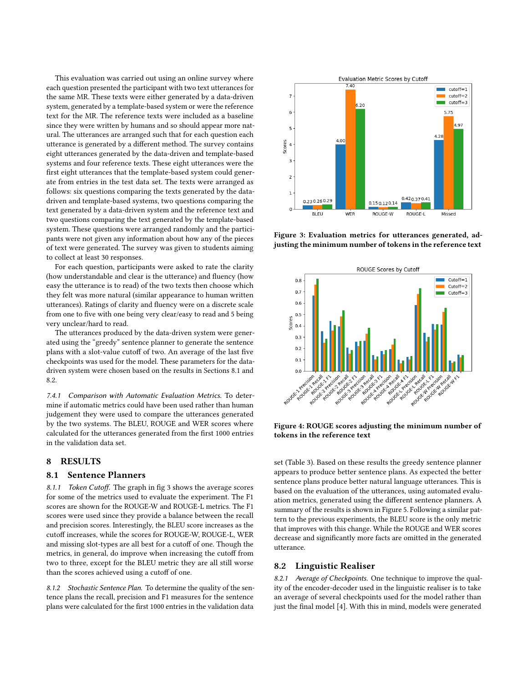This evaluation was carried out using an online survey where each question presented the participant with two text utterances for the same [MR.](#page-0-1) These texts were either generated by a data-driven system, generated by a template-based system or were the reference text for the [MR.](#page-0-1) The reference texts were included as a baseline since they were written by humans and so should appear more natural. The utterances are arranged such that for each question each utterance is generated by a different method. The survey contains eight utterances generated by the data-driven and template-based systems and four reference texts. These eight utterances were the first eight utterances that the template-based system could generate from entries in the test data set. The texts were arranged as follows: six questions comparing the texts generated by the datadriven and template-based systems, two questions comparing the text generated by a data-driven system and the reference text and two questions comparing the text generated by the template-based system. These questions were arranged randomly and the participants were not given any information about how any of the pieces of text were generated. The survey was given to students aiming to collect at least 30 responses.

For each question, participants were asked to rate the clarity (how understandable and clear is the utterance) and fluency (how easy the utterance is to read) of the two texts then choose which they felt was more natural (similar appearance to human written utterances). Ratings of clarity and fluency were on a discrete scale from one to five with one being very clear/easy to read and 5 being very unclear/hard to read.

The utterances produced by the data-driven system were generated using the "greedy" sentence planner to generate the sentence plans with a slot-value cutoff of two. An average of the last five checkpoints was used for the model. These parameters for the datadriven system were chosen based on the results in Sections [8.1](#page-5-1) and [8.2.](#page-5-2)

7.4.1 Comparison with Automatic Evaluation Metrics. To determine if automatic metrics could have been used rather than human judgement they were used to compare the utterances generated by the two systems. The BLEU, ROUGE and WER scores where calculated for the utterances generated from the first 1000 entries in the validation data set.

## <span id="page-5-0"></span>8 RESULTS

#### <span id="page-5-1"></span>8.1 Sentence Planners

8.1.1 Token Cutoff. The graph in fig [3](#page-5-3) shows the average scores for some of the metrics used to evaluate the experiment. The F1 scores are shown for the ROUGE-W and ROUGE-L metrics. The F1 scores were used since they provide a balance between the recall and precision scores. Interestingly, the BLEU score increases as the cutoff increases, while the scores for ROUGE-W, ROUGE-L, WER and missing slot-types are all best for a cutoff of one. Though the metrics, in general, do improve when increasing the cutoff from two to three, except for the BLEU metric they are all still worse than the scores achieved using a cutoff of one.

8.1.2 Stochastic Sentence Plan. To determine the quality of the sentence plans the recall, precision and F1 measures for the sentence plans were calculated for the first 1000 entries in the validation data

<span id="page-5-3"></span>

Figure 3: Evaluation metrics for utterances generated, adjusting the minimum number of tokens in the reference text



Figure 4: ROUGE scores adjusting the minimum number of tokens in the reference text

set (Table [3\)](#page-6-1). Based on these results the greedy sentence planner appears to produce better sentence plans. As expected the better sentence plans produce better natural language utterances. This is based on the evaluation of the utterances, using automated evaluation metrics, generated using the different sentence planners. A summary of the results is shown in Figure [5.](#page-6-2) Following a similar pattern to the previous experiments, the BLEU score is the only metric that improves with this change. While the ROUGE and WER scores decrease and significantly more facts are omitted in the generated utterance.

#### <span id="page-5-2"></span>8.2 Linguistic Realiser

8.2.1 Average of Checkpoints. One technique to improve the quality of the encoder-decoder used in the linguistic realiser is to take an average of several checkpoints used for the model rather than just the final model [\[4\]](#page-8-17). With this in mind, models were generated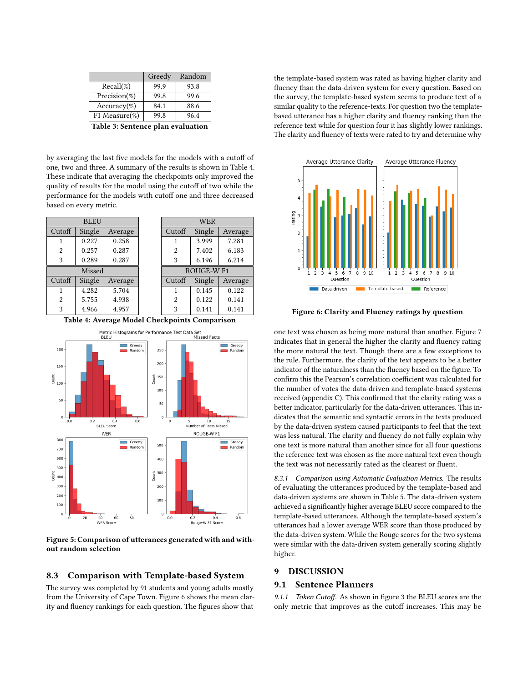<span id="page-6-1"></span>

|                   | Greedy | Random |
|-------------------|--------|--------|
| $Recall(\%)$      | 99.9   | 93.8   |
| Precision $(\%)$  | 99.8   | 99.6   |
| $Accuracy$ %)     | 84.1   | 88.6   |
| F1 Measure $(\%)$ | 99.8   | 96.4   |
|                   |        |        |

Table 3: Sentence plan evaluation

by averaging the last five models for the models with a cutoff of one, two and three. A summary of the results is shown in Table [4.](#page-6-3) These indicate that averaging the checkpoints only improved the quality of results for the model using the cutoff of two while the performance for the models with cutoff one and three decreased based on every metric.

<span id="page-6-3"></span>

Table 4: Average Model Checkpoints Comparison

<span id="page-6-2"></span>

Figure 5: Comparison of utterances generated with and without random selection

#### 8.3 Comparison with Template-based System

The survey was completed by 91 students and young adults mostly from the University of Cape Town. Figure [6](#page-6-4) shows the mean clarity and fluency rankings for each question. The figures show that

the template-based system was rated as having higher clarity and fluency than the data-driven system for every question. Based on the survey, the template-based system seems to produce text of a similar quality to the reference-texts. For question two the templatebased utterance has a higher clarity and fluency ranking than the reference text while for question four it has slightly lower rankings. The clarity and fluency of texts were rated to try and determine why

<span id="page-6-4"></span>

Figure 6: Clarity and Fluency ratings by question

one text was chosen as being more natural than another. Figure [7](#page-7-0) indicates that in general the higher the clarity and fluency rating the more natural the text. Though there are a few exceptions to the rule. Furthermore, the clarity of the text appears to be a better indicator of the naturalness than the fluency based on the figure. To confirm this the Pearson's correlation coefficient was calculated for the number of votes the data-driven and template-based systems received (appendix [C\)](#page-9-5). This confirmed that the clarity rating was a better indicator, particularly for the data-driven utterances. This indicates that the semantic and syntactic errors in the texts produced by the data-driven system caused participants to feel that the text was less natural. The clarity and fluency do not fully explain why one text is more natural than another since for all four questions the reference text was chosen as the more natural text even though the text was not necessarily rated as the clearest or fluent.

8.3.1 Comparison using Automatic Evaluation Metrics. The results of evaluating the utterances produced by the template-based and data-driven systems are shown in Table [5.](#page-7-1) The data-driven system achieved a significantly higher average BLEU score compared to the template-based utterances. Although the template-based system's utterances had a lower average WER score than those produced by the data-driven system. While the Rouge scores for the two systems were similar with the data-driven system generally scoring slightly higher.

## <span id="page-6-0"></span>9 DISCUSSION

## 9.1 Sentence Planners

9.1.1 Token Cutoff. As shown in figure [3](#page-5-3) the BLEU scores are the only metric that improves as the cutoff increases. This may be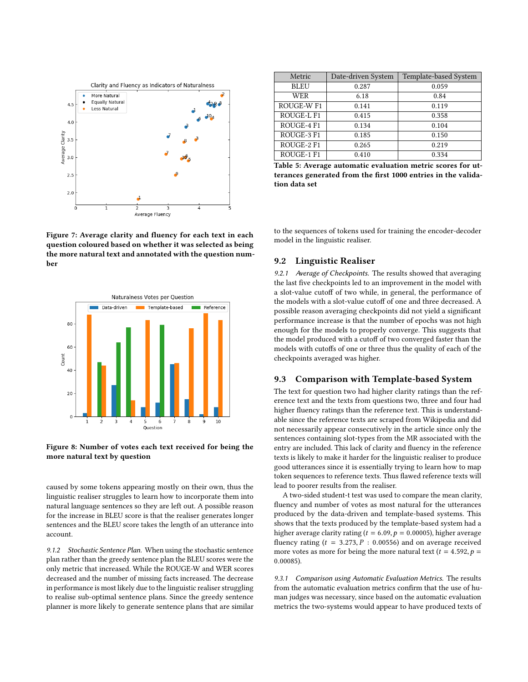<span id="page-7-0"></span>

Figure 7: Average clarity and fluency for each text in each question coloured based on whether it was selected as being the more natural text and annotated with the question number



Figure 8: Number of votes each text received for being the more natural text by question

caused by some tokens appearing mostly on their own, thus the linguistic realiser struggles to learn how to incorporate them into natural language sentences so they are left out. A possible reason for the increase in BLEU score is that the realiser generates longer sentences and the BLEU score takes the length of an utterance into account.

9.1.2 Stochastic Sentence Plan. When using the stochastic sentence plan rather than the greedy sentence plan the BLEU scores were the only metric that increased. While the ROUGE-W and WER scores decreased and the number of missing facts increased. The decrease in performance is most likely due to the linguistic realiser struggling to realise sub-optimal sentence plans. Since the greedy sentence planner is more likely to generate sentence plans that are similar

<span id="page-7-1"></span>

| Metric      | Date-driven System | Template-based System |
|-------------|--------------------|-----------------------|
| <b>BLEU</b> | 0.287              | 0.059                 |
| <b>WER</b>  | 6.18               | 0.84                  |
| ROUGE-W F1  | 0.141              | 0.119                 |
| ROUGE-L F1  | 0.415              | 0.358                 |
| ROUGE-4 F1  | 0.134              | 0.104                 |
| ROUGE-3 F1  | 0.185              | 0.150                 |
| ROUGE-2 F1  | 0.265              | 0.219                 |
| ROUGE-1 F1  | 0.410              | 0.334                 |

Table 5: Average automatic evaluation metric scores for utterances generated from the first 1000 entries in the validation data set

to the sequences of tokens used for training the encoder-decoder model in the linguistic realiser.

## 9.2 Linguistic Realiser

9.2.1 Average of Checkpoints. The results showed that averaging the last five checkpoints led to an improvement in the model with a slot-value cutoff of two while, in general, the performance of the models with a slot-value cutoff of one and three decreased. A possible reason averaging checkpoints did not yield a significant performance increase is that the number of epochs was not high enough for the models to properly converge. This suggests that the model produced with a cutoff of two converged faster than the models with cutoffs of one or three thus the quality of each of the checkpoints averaged was higher.

## 9.3 Comparison with Template-based System

The text for question two had higher clarity ratings than the reference text and the texts from questions two, three and four had higher fluency ratings than the reference text. This is understandable since the reference texts are scraped from Wikipedia and did not necessarily appear consecutively in the article since only the sentences containing slot-types from the [MR](#page-0-1) associated with the entry are included. This lack of clarity and fluency in the reference texts is likely to make it harder for the linguistic realiser to produce good utterances since it is essentially trying to learn how to map token sequences to reference texts. Thus flawed reference texts will lead to poorer results from the realiser.

A two-sided student-t test was used to compare the mean clarity, fluency and number of votes as most natural for the utterances produced by the data-driven and template-based systems. This shows that the texts produced by the template-based system had a higher average clarity rating ( $t = 6.09$ ,  $p = 0.00005$ ), higher average fluency rating  $(t = 3.273, P : 0.00556)$  and on average received more votes as more for being the more natural text ( $t = 4.592$ ,  $p =$ <sup>0</sup>.00085).

9.3.1 Comparison using Automatic Evaluation Metrics. The results from the automatic evaluation metrics confirm that the use of human judges was necessary, since based on the automatic evaluation metrics the two-systems would appear to have produced texts of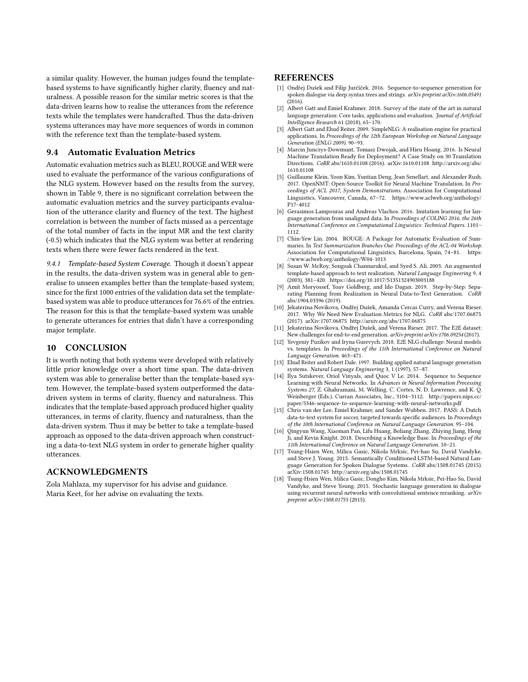a similar quality. However, the human judges found the templatebased systems to have significantly higher clarity, fluency and naturalness. A possible reason for the similar metric scores is that the data-driven learns how to realise the utterances from the reference texts while the templates were handcrafted. Thus the data-driven systems utterances may have more sequences of words in common with the reference text than the template-based system.

# 9.4 Automatic Evaluation Metrics

Automatic evaluation metrics such as BLEU, ROUGE and WER were used to evaluate the performance of the various configurations of the [NLG](#page-0-1) system. However based on the results from the survey, shown in Table [9,](#page-9-6) there is no significant correlation between the automatic evaluation metrics and the survey participants evaluation of the utterance clarity and fluency of the text. The highest correlation is between the number of facts missed as a percentage of the total number of facts in the input [MR](#page-0-1) and the text clarity (-0.5) which indicates that the [NLG](#page-0-1) system was better at rendering texts when there were fewer facts rendered in the text.

9.4.1 Template-based System Coverage. Though it doesn't appear in the results, the data-driven system was in general able to generalise to unseen examples better than the template-based system; since for the first 1000 entries of the validation data set the templatebased system was able to produce utterances for 76.6% of the entries. The reason for this is that the template-based system was unable to generate utterances for entries that didn't have a corresponding major template.

#### <span id="page-8-9"></span>10 CONCLUSION

It is worth noting that both systems were developed with relatively little prior knowledge over a short time span. The data-driven system was able to generalise better than the template-based system. However, the template-based system outperformed the datadriven system in terms of clarity, fluency and naturalness. This indicates that the template-based approach produced higher quality utterances, in terms of clarity, fluency and naturalness, than the data-driven system. Thus it may be better to take a template-based approach as opposed to the data-driven approach when constructing a data-to-text [NLG](#page-0-1) system in order to generate higher quality utterances.

#### ACKNOWLEDGMENTS

Zola Mahlaza, my supervisor for his advise and guidance. Maria Keet, for her advise on evaluating the texts.

## **REFERENCES**

- <span id="page-8-11"></span>[1] Ondřej Dušek and Filip Jurčíček. 2016. Sequence-to-sequence generation for spoken dialogue via deep syntax trees and strings. arXiv preprint arXiv:1606.05491  $(2016).$
- <span id="page-8-3"></span>[2] Albert Gatt and Emiel Krahmer. 2018. Survey of the state of the art in natural language generation: Core tasks, applications and evaluation. Journal of Artificial Intelligence Research 61 (2018), 65–170.
- <span id="page-8-16"></span>[3] Albert Gatt and Ehud Reiter. 2009. SimpleNLG: A realisation engine for practical applications. In Proceedings of the 12th European Workshop on Natural Language Generation (ENLG 2009). 90–93.
- <span id="page-8-17"></span>[4] Marcin Junczys-Dowmunt, Tomasz Dwojak, and Hieu Hoang. 2016. Is Neural Machine Translation Ready for Deployment? A Case Study on 30 Translation Directions. CoRR abs/1610.01108 (2016). arXiv[:1610.01108 http://arxiv.org/abs/](http://arxiv.org/abs/1610.01108) [1610.01108](http://arxiv.org/abs/1610.01108)
- <span id="page-8-14"></span>[5] Guillaume Klein, Yoon Kim, Yuntian Deng, Jean Senellart, and Alexander Rush. 2017. OpenNMT: Open-Source Toolkit for Neural Machine Translation. In Proceedings of ACL 2017, System Demonstrations. Association for Computational Linguistics, Vancouver, Canada, 67–72. [https://www.aclweb.org/anthology/](https://www.aclweb.org/anthology/P17-4012) [P17-4012](https://www.aclweb.org/anthology/P17-4012)
- <span id="page-8-10"></span>[6] Gerasimos Lampouras and Andreas Vlachos. 2016. Imitation learning for language generation from unaligned data. In Proceedings of COLING 2016, the 26th International Conference on Computational Linguistics: Technical Papers. 1101– 1112.
- <span id="page-8-18"></span>[7] Chin-Yew Lin. 2004. ROUGE: A Package for Automatic Evaluation of Summaries. In Text Summarization Branches Out: Proceedings of the ACL-04 Workshop. Association for Computational Linguistics, Barcelona, Spain, 74–81. [https:](https://www.aclweb.org/anthology/W04-1013) [//www.aclweb.org/anthology/W04-1013](https://www.aclweb.org/anthology/W04-1013)
- <span id="page-8-6"></span>[8] Susan W. McRoy, Songsak Channarukul, and Syed S. Ali. 2003. An augmented template-based approach to text realization. Natural Language Engineering 9, 4 (2003), 381–420.<https://doi.org/10.1017/S1351324903003188>
- <span id="page-8-4"></span>Amit Moryossef, Yoav Goldberg, and Ido Dagan. 2019. Step-by-Step: Separating Planning from Realization in Neural Data-to-Text Generation. CoRR abs/1904.03396 (2019).
- <span id="page-8-12"></span>[10] Jekaterina Novikova, Ondřej Dušek, Amanda Cercas Curry, and Verena Rieser. 2017. Why We Need New Evaluation Metrics for NLG. CoRR abs/1707.06875 (2017). arXiv[:1707.06875 http://arxiv.org/abs/1707.06875](http://arxiv.org/abs/1707.06875)
- <span id="page-8-1"></span>[11] Jekaterina Novikova, Ondřej Dušek, and Verena Rieser. 2017. The E2E dataset: New challenges for end-to-end generation. arXiv preprint arXiv:1706.09254 (2017).
- <span id="page-8-5"></span>[12] Yevgeniy Puzikov and Iryna Gurevych. 2018. E2E NLG challenge: Neural models vs. templates. In Proceedings of the 11th International Conference on Natural Language Generation. 463–471.
- <span id="page-8-0"></span>[13] Ehud Reiter and Robert Dale. 1997. Building applied natural language generation systems. Natural Language Engineering 3, 1 (1997), 57–87.
- <span id="page-8-15"></span>[14] Ilya Sutskever, Oriol Vinyals, and Quoc V Le. 2014. Sequence to Sequence Learning with Neural Networks. In Advances in Neural Information Processing Systems 27, Z. Ghahramani, M. Welling, C. Cortes, N. D. Lawrence, and K. Q. Weinberger (Eds.). Curran Associates, Inc., 3104–3112. [http://papers.nips.cc/](http://papers.nips.cc/paper/5346-sequence-to-sequence-learning-with-neural-networks.pdf) [paper/5346-sequence-to-sequence-learning-with-neural-networks.pdf](http://papers.nips.cc/paper/5346-sequence-to-sequence-learning-with-neural-networks.pdf)
- <span id="page-8-8"></span>[15] Chris van der Lee, Emiel Krahmer, and Sander Wubben. 2017. PASS: A Dutch data-to-text system for soccer, targeted towards specific audiences. In Proceedings of the 10th International Conference on Natural Language Generation. 95–104.
- <span id="page-8-13"></span>[16] Qingyun Wang, Xiaoman Pan, Lifu Huang, Boliang Zhang, Zhiying Jiang, Heng Ji, and Kevin Knight. 2018. Describing a Knowledge Base. In Proceedings of the 11th International Conference on Natural Language Generation. 10–21.
- <span id="page-8-7"></span>[17] Tsung-Hsien Wen, Milica Gasic, Nikola Mrksic, Pei-hao Su, David Vandyke, and Steve J. Young. 2015. Semantically Conditioned LSTM-based Natural Language Generation for Spoken Dialogue Systems. CoRR abs/1508.01745 (2015). arXiv[:1508.01745 http://arxiv.org/abs/1508.01745](http://arxiv.org/abs/1508.01745)
- <span id="page-8-2"></span>[18] Tsung-Hsien Wen, Milica Gasic, Dongho Kim, Nikola Mrksic, Pei-Hao Su, David Vandyke, and Steve Young. 2015. Stochastic language generation in dialogue using recurrent neural networks with convolutional sentence reranking. arXiv preprint arXiv:1508.01755 (2015).